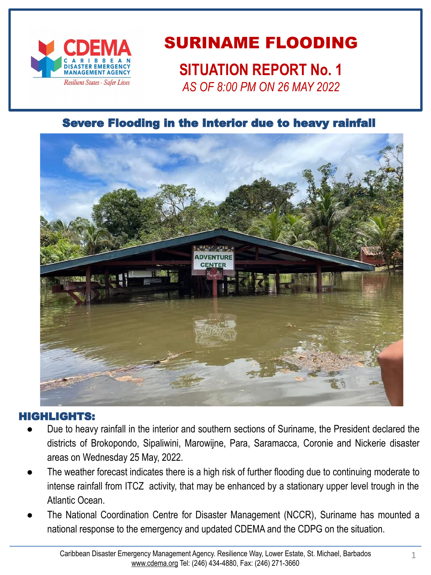

# SURINAME FLOODING

**SITUATION REPORT No. 1**

*AS OF 8:00 PM ON 26 MAY 2022*

### Severe Flooding in the Interior due to heavy rainfall



#### HIGHLIGHTS:

- Due to heavy rainfall in the interior and southern sections of Suriname, the President declared the districts of Brokopondo, Sipaliwini, Marowijne, Para, Saramacca, Coronie and Nickerie disaster areas on Wednesday 25 May, 2022.
- The weather forecast indicates there is a high risk of further flooding due to continuing moderate to intense rainfall from ITCZ activity, that may be enhanced by a stationary upper level trough in the Atlantic Ocean.
- The National Coordination Centre for Disaster Management (NCCR), Suriname has mounted a national response to the emergency and updated CDEMA and the CDPG on the situation.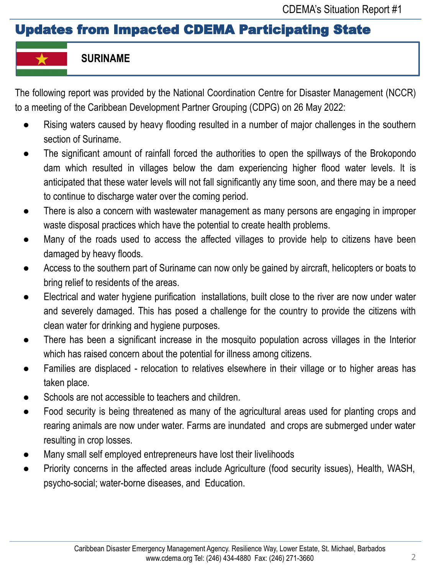## Updates from Impacted CDEMA Participating State

### **SURINAME**

The following report was provided by the National Coordination Centre for Disaster Management (NCCR) to a meeting of the Caribbean Development Partner Grouping (CDPG) on 26 May 2022:

- Rising waters caused by heavy flooding resulted in a number of major challenges in the southern section of Suriname.
- The significant amount of rainfall forced the authorities to open the spillways of the Brokopondo dam which resulted in villages below the dam experiencing higher flood water levels. lt is anticipated that these water levels will not fall significantly any time soon, and there may be a need to continue to discharge water over the coming period.
- There is also a concern with wastewater management as many persons are engaging in improper waste disposal practices which have the potential to create health problems.
- Many of the roads used to access the affected villages to provide help to citizens have been damaged by heavy floods.
- Access to the southern part of Suriname can now only be gained by aircraft, helicopters or boats to bring relief to residents of the areas.
- Electrical and water hygiene purification installations, built close to the river are now under water and severely damaged. This has posed a challenge for the country to provide the citizens with clean water for drinking and hygiene purposes.
- There has been a significant increase in the mosquito population across villages in the Interior which has raised concern about the potential for illness among citizens.
- Families are displaced relocation to relatives elsewhere in their village or to higher areas has taken place.
- Schools are not accessible to teachers and children.
- Food security is being threatened as many of the agricultural areas used for planting crops and rearing animals are now under water. Farms are inundated and crops are submerged under water resulting in crop losses.
- Many small self employed entrepreneurs have lost their livelihoods
- Priority concerns in the affected areas include Agriculture (food security issues), Health, WASH, psycho-social; water-borne diseases, and Education.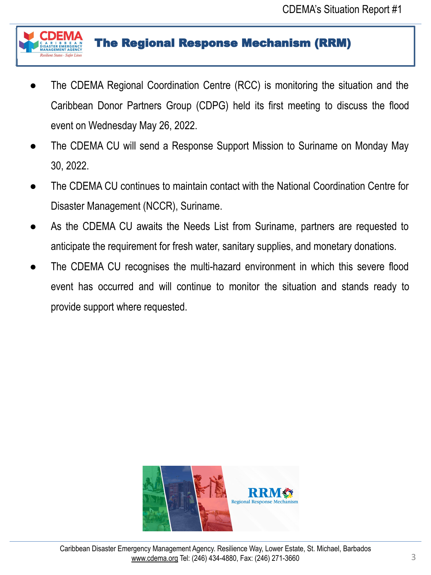

### The Regional Response Mechanism (RRM)

- The CDEMA Regional Coordination Centre (RCC) is monitoring the situation and the Caribbean Donor Partners Group (CDPG) held its first meeting to discuss the flood event on Wednesday May 26, 2022.
- The CDEMA CU will send a Response Support Mission to Suriname on Monday May 30, 2022.
- The CDEMA CU continues to maintain contact with the National Coordination Centre for Disaster Management (NCCR), Suriname.
- As the CDEMA CU awaits the Needs List from Suriname, partners are requested to anticipate the requirement for fresh water, sanitary supplies, and monetary donations.
- The CDEMA CU recognises the multi-hazard environment in which this severe flood event has occurred and will continue to monitor the situation and stands ready to provide support where requested.